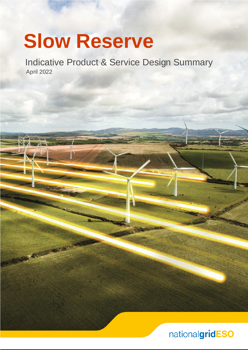# **Slow Reserve**

RECEIVED FOR

 April 2022 Indicative Product & Service Design Summary

# nationalgridESO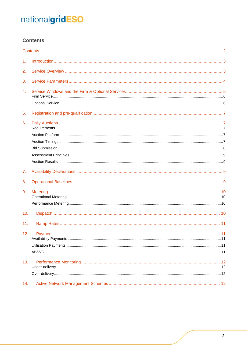# <span id="page-1-0"></span>**Contents**

| 1.  | Introduction 3 |    |
|-----|----------------|----|
| 2.  |                |    |
| 3.  |                |    |
| 4.  |                |    |
|     |                |    |
| 5.  |                |    |
| 6.  |                |    |
| 7.  |                |    |
| 8.  |                |    |
| 9.  |                |    |
|     |                |    |
| 10. |                |    |
| 11. |                |    |
| 12. | Payment        | 11 |
| 13. |                |    |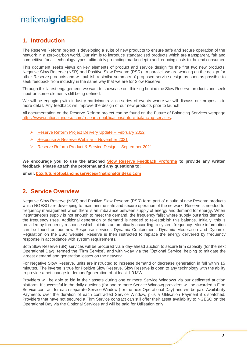### <span id="page-2-0"></span>**1. Introduction**

The Reserve Reform project is developing a suite of new products to ensure safe and secure operation of the network in a zero-carbon world. Our aim is to introduce standardised products which are transparent, fair and competitive for all technology types, ultimately promoting market depth and reducing costs to the end consumer.

This document seeks views on key elements of product and service design for the first two new products: Negative Slow Reserve (NSR) and Positive Slow Reserve (PSR). In parallel, we are working on the design for other Reserve products and will publish a similar summary of proposed service design as soon as possible to seek feedback from industry in the same way that we are for Slow Reserve.

Through this latest engagement, we want to showcase our thinking behind the Slow Reserve products and seek input on some elements still being defined.

We will be engaging with industry participants via a series of events where we will discuss our proposals in more detail. Any feedback will improve the design of our new products prior to launch.

All documentation on the Reserve Reform project can be found on the Future of Balancing Services webpage [https://www.nationalgrideso.com/research-publications/future-balancing-services.](https://www.nationalgrideso.com/research-publications/future-balancing-services)

- ➢ [Reserve Reform Project Delivery Update –](https://www.nationalgrideso.com/document/244316/download) February 2022
- ➢ [Response & Reserve Webinar –](https://www.nationalgrideso.com/document/219461/download) November 2021
- ➢ [Reserve Reform Product & Service Design –](https://www.nationalgrideso.com/document/208951/download) September 2021

**We encourage you to use the attached [Slow Reserve Feedback Proforma](https://www.nationalgrideso.com/document/248901/download) to provide any written feedback. Please attach the proforma and any questions to:**

**Email: [box.futureofbalancingservices@nationalgrideso.com](mailto:box.futureofbalancingservices@nationalgrideso.com)**

### <span id="page-2-1"></span>**2. Service Overview**

Negative Slow Reserve (NSR) and Positive Slow Reserve (PSR) form part of a suite of new Reserve products which NGESO are developing to maintain the safe and secure operation of the network. Reserve is needed for frequency management when there is an imbalance between supply of energy and demand for energy. When instantaneous supply is not enough to meet the demand, the frequency falls; where supply outstrips demand, the frequency rises. Additional generation or demand is needed to re-establish this balance. Initially, this is provided by frequency response which initiates automatically according to system frequency. More information can be found on our new Response services Dynamic Containment, Dynamic Moderation and Dynamic Regulation on the ESO website. Reserve is then instructed to replace the energy delivered by frequency response in accordance with system requirements.

Both Slow Reserve (SR) services will be procured via a day-ahead auction to secure firm capacity (for the next Operational Day), termed the 'Firm Service', and within-day via the 'Optional Service' helping to mitigate the largest demand and generation losses on the network.

For Negative Slow Reserve, units are instructed to increase demand or decrease generation in full within 15 minutes. The inverse is true for Positive Slow Reserve. Slow Reserve is open to any technology with the ability to provide a net change in demand/generation of at least 1.0 MW.

Providers will be able to bid in their assets during one or more Service Windows via our dedicated auction platform. If successful in the daily auctions (for one or more Service Window) providers will be awarded a Firm Service contract for each separate Service Window (for the next Operational Day) and will be paid Availability Payments over the duration of each contracted Service Window, plus a Utilisation Payment if dispatched. Providers that have not secured a Firm Service contract can still offer their asset availability to NGESO on the Operational Day via the Optional Services and will be paid for Utilisation only.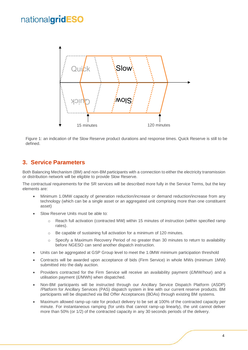

Figure 1: an indication of the Slow Reserve product durations and response times. Quick Reserve is still to be defined.

### <span id="page-3-0"></span>**3. Service Parameters**

Both Balancing Mechanism (BM) and non-BM participants with a connection to either the electricity transmission or distribution network will be eligible to provide Slow Reserve.

The contractual requirements for the SR services will be described more fully in the Service Terms, but the key elements are:

- Minimum 1.0MW capacity of generation reduction/increase or demand reduction/increase from any technology (which can be a single asset or an aggregated unit comprising more than one constituent asset)
- Slow Reserve Units must be able to:
	- o Reach full activation (contracted MW) within 15 minutes of instruction (within specified ramp rates).
	- o Be capable of sustaining full activation for a minimum of 120 minutes.
	- o Specify a Maximum Recovery Period of no greater than 30 minutes to return to availability before NGESO can send another dispatch instruction.
- Units can be aggregated at GSP Group level to meet the 1.0MW minimum participation threshold
- Contracts will be awarded upon acceptance of bids (Firm Service) in whole MWs (minimum 1MW) submitted into the daily auction.
- Providers contracted for the Firm Service will receive an availability payment (£/MW/hour) and a utilisation payment (£/MWh) when dispatched.
- Non-BM participants will be instructed through our Ancillary Service Dispatch Platform (ASDP) /Platform for Ancillary Services (PAS) dispatch system in line with our current reserve products. BM participants will be dispatched via Bid Offer Acceptances (BOAs) through existing BM systems.
- Maximum allowed ramp-up rate for product delivery to be set at 100% of the contracted capacity per minute. For instantaneous ramping (for units that cannot ramp-up linearly), the unit cannot deliver more than 50% (or 1/2) of the contracted capacity in any 30 seconds periods of the delivery.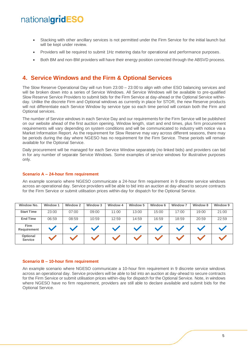- Stacking with other ancillary services is not permitted under the Firm Service for the initial launch but will be kept under review.
- Providers will be required to submit 1Hz metering data for operational and performance purposes.
- Both BM and non-BM providers will have their energy position corrected through the ABSVD process.

### <span id="page-4-0"></span>**4. Service Windows and the Firm & Optional Services**

The Slow Reserve Operational Day will run from 23:00 – 23:00 to align with other ESO balancing services and will be broken down into a series of Service Windows. All Service Windows will be available to pre-qualified Slow Reserve Service Providers to submit bids for the Firm Service at day-ahead or the Optional Service withinday. Unlike the discrete Firm and Optional windows as currently in place for STOR, the new Reserve products will not differentiate each Service Window by service type so each time period will contain both the Firm and Optional services.

The number of Service windows in each Service Day and our requirements for the Firm Service will be published on our website ahead of the first auction opening. Window length, start and end times, plus firm procurement requirements will vary depending on system conditions and will be communicated to industry with notice via a Market Information Report. As the requirement for Slow Reserve may vary across different seasons, there may be periods during the day where NGESO has no requirement for the Firm Service. These periods will remain available for the Optional Service.

Daily procurement will be managed for each Service Window separately (no linked bids) and providers can bid in for any number of separate Service Windows. Some examples of service windows for illustrative purposes only.

#### **Scenario A – 24-hour firm requirement**

An example scenario where NGESO communicate a 24-hour firm requirement in 9 discrete service windows across an operational day. Service providers will be able to bid into an auction at day-ahead to secure contracts for the Firm Service or submit utilisation prices within-day for dispatch for the Optional Service.

| <b>Window No.</b>          | <b>Window 1</b> | <b>Window 2</b> | Window 3 | Window 4 | Window 5 | Window 6 | Window <sub>7</sub> | Window 8 | Window 9 |
|----------------------------|-----------------|-----------------|----------|----------|----------|----------|---------------------|----------|----------|
| <b>Start Time</b>          | 23:00           | 07:00           | 09:00    | 11:00    | 13:00    | 15:00    | 17:00               | 19:00    | 21:00    |
| <b>End Time</b>            | 06:59           | 08:59           | 10:59    | 12:59    | 14:59    | 16:59    | 18:59               | 20:59    | 22:59    |
| <b>Firm</b><br>Requirement |                 |                 |          |          |          |          |                     |          |          |
| Optional<br><b>Service</b> |                 |                 |          |          |          |          |                     |          |          |

#### **Scenario B – 10-hour firm requirement**

An example scenario where NGESO communicate a 10-hour firm requirement in 9 discrete service windows across an operational day. Service providers will be able to bid into an auction at day-ahead to secure contracts for the Firm Service or submit utilisation prices within-day for dispatch for the Optional Service. Note, in windows where NGESO have no firm requirement, providers are still able to declare available and submit bids for the Optional Service.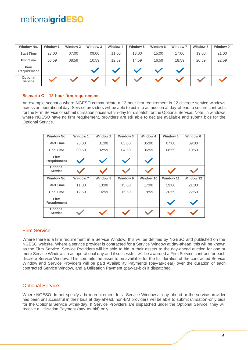| <b>Window No.</b>          | Window 1 | Window 2 | Window 3 | <b>Window 4</b> | Window 5 | Window 6 | <b>Window 7</b> | Window 8 | Window 9 |
|----------------------------|----------|----------|----------|-----------------|----------|----------|-----------------|----------|----------|
| <b>Start Time</b>          | 23:00    | 07:00    | 09:00    | 11:00           | 13:00    | 15:00    | 17:00           | 19:00    | 21:00    |
| <b>End Time</b>            | 06:59    | 08:59    | 10:59    | 12:59           | 14:59    | 16:59    | 18:59           | 20:59    | 22:59    |
| Firm<br>Requirement        |          |          |          |                 |          |          |                 |          |          |
| Optional<br><b>Service</b> |          |          |          |                 |          |          |                 |          |          |

#### **Scenario C – 12-hour firm requirement**

An example scenario where NGESO communicate a 12-hour firm requirement in 12 discrete service windows across an operational day. Service providers will be able to bid into an auction at day-ahead to secure contracts for the Firm Service or submit utilisation prices within-day for dispatch for the Optional Service. Note, in windows where NGESO have no firm requirement, providers are still able to declare available and submit bids for the Optional Service.

| <b>Window No.</b>                 | <b>Window 1</b> | <b>Window 2</b> | Window 3 | <b>Window 4</b> | Window 5         | Window 6  |
|-----------------------------------|-----------------|-----------------|----------|-----------------|------------------|-----------|
| <b>Start Time</b>                 | 23:00           | 01:00           | 03:00    | 05:00           | 07:00            | 09:00     |
| <b>End Time</b>                   | 00:59           | 02:59           | 04:59    | 06:59           | 08:59            | 10:59     |
| <b>Firm</b><br><b>Requirement</b> |                 |                 |          |                 |                  |           |
| Optional<br><b>Service</b>        |                 |                 |          |                 |                  |           |
|                                   |                 |                 |          |                 |                  |           |
| Window No.                        | <b>Window 7</b> | <b>Window 8</b> | Window 9 | Window 10       | <b>Window 11</b> | Window 12 |
| <b>Start Time</b>                 | 11:00           | 13:00           | 15:00    | 17:00           | 19:00            | 21:00     |
| <b>End Time</b>                   | 12:59           | 14:59           | 16:59    | 18:59           | 20:59            | 22:59     |
| <b>Firm</b><br>Requirement        |                 |                 |          |                 |                  |           |

#### <span id="page-5-0"></span>Firm Service

Where there is a firm requirement in a Service Window, this will be defined by NGESO and published on the NGESO website. Where a service provider is contracted for a Service Window at day-ahead, this will be known as the Firm Service. Service Providers will be able to bid in their assets to the day-ahead auction for one or more Service Windows in an operational day and if successful, will be awarded a Firm Service contract for each discrete Service Window. This commits the asset to be available for the full duration of the contracted Service Window and Service Providers will be paid Availability Payments (pay-as-clear) over the duration of each contracted Service Window, and a Utilisation Payment (pay-as-bid) if dispatched.

### <span id="page-5-1"></span>Optional Service

Where NGESO do not specify a firm requirement for a Service Window at day-ahead or the service provider has been unsuccessful in their bids at day-ahead, non-BM providers will be able to submit utilisation-only bids for the Optional Service within-day. If Service Providers are dispatched under the Optional Service, they will receive a Utilisation Payment (pay-as-bid) only.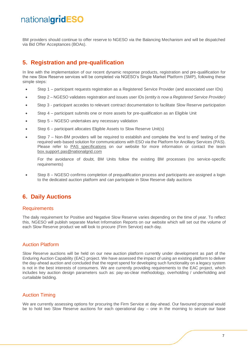BM providers should continue to offer reserve to NGESO via the Balancing Mechanism and will be dispatched via Bid Offer Acceptances (BOAs).

# <span id="page-6-0"></span>**5. Registration and pre-qualification**

In line with the implementation of our recent dynamic response products, registration and pre-qualification for the new Slow Reserve services will be completed via NGESO's Single Market Platform (SMP), following these simple steps:

- Step 1 participant requests registration as a Registered Service Provider (and associated user IDs)
- Step 2 NGESO validates registration and issues user IDs (e*ntity is now a Registered Service Provider)*
- Step 3 participant accedes to relevant contract documentation to facilitate Slow Reserve participation
- Step 4 participant submits one or more assets for pre-qualification as an Eligible Unit
- Step 5 NGESO undertakes any necessary validation
- Step 6 participant allocates Eligible Assets to Slow Reserve Unit(s)
- Step 7 Non-BM providers will be required to establish and complete the 'end to end' testing of the required web-based solution for communications with ESO via the Platform for Ancillary Services (PAS). Please refer to [PAS specifications](https://www.nationalgrideso.com/document/177061/download) on our website for more information or contact the team [box.support.pas@nationalgrid.com](mailto:box.support.pas@nationalgrid.com)

For the avoidance of doubt, BM Units follow the existing BM processes (no service-specific requirements)

• Step 8 – NGESO confirms completion of prequalification process and participants are assigned a login to the dedicated auction platform and can participate in Slow Reserve daily auctions

# <span id="page-6-1"></span>**6. Daily Auctions**

#### <span id="page-6-2"></span>**Requirements**

The daily requirement for Positive and Negative Slow Reserve varies depending on the time of year. To reflect this, NGESO will publish separate Market Information Reports on our website which will set out the volume of each Slow Reserve product we will look to procure (Firm Service) each day.

### <span id="page-6-3"></span>Auction Platform

Slow Reserve auctions will be held on our new auction platform currently under development as part of the Enduring Auction Capability (EAC) project. We have assessed the impact of using an existing platform to deliver the day-ahead auction and concluded that the regret spend for developing such functionality on a legacy system is not in the best interests of consumers. We are currently providing requirements to the EAC project, which includes key auction design parameters such as: pay-as-clear methodology, overholding / underholding and curtailable bidding.

### <span id="page-6-4"></span>Auction Timing

We are currently assessing options for procuring the Firm Service at day-ahead. Our favoured proposal would be to hold two Slow Reserve auctions for each operational day – one in the morning to secure our base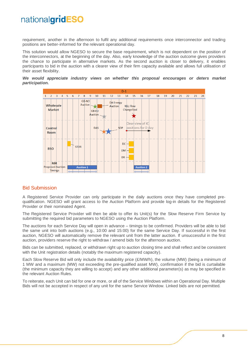requirement, another in the afternoon to fulfil any additional requirements once interconnector and trading positions are better-informed for the relevant operational day.

This solution would allow NGESO to secure the base requirement, which is not dependent on the position of the interconnectors, at the beginning of the day. Also, early knowledge of the auction outcome gives providers the chance to participate in alternative markets. As the second auction is closer to delivery, it enables participants to bid in the auction with a clearer view of their firm capacity available and allows full utilisation of their asset flexibility.





### <span id="page-7-0"></span>Bid Submission

A Registered Service Provider can only participate in the daily auctions once they have completed prequalification. NGESO will grant access to the Auction Platform and provide log-in details for the Registered Provider or their nominated Agent.

The Registered Service Provider will then be able to offer its Unit(s) for the Slow Reserve Firm Service by submitting the required bid parameters to NGESO using the Auction Platform.

The auctions for each Service Day will open in advance – timings to be confirmed. Providers will be able to bid the same unit into both auctions (e.g., 10:00 and 15:00) for the same Service Day. If successful in the first auction, NGESO will automatically remove the relevant unit from the latter auction. If unsuccessful in the first auction, providers reserve the right to withdraw / amend bids for the afternoon auction.

Bids can be submitted, replaced, or withdrawn right up to auction closing time and shall reflect and be consistent with the Unit registration details (notably the maximum registered capacity).

Each Slow Reserve Bid will only include the availability price (£/MW/h), the volume (MW) (being a minimum of 1 MW and a maximum (MW) not exceeding the pre-qualified asset MW), confirmation if the bid is curtailable (the minimum capacity they are willing to accept) and any other additional parameter(s) as may be specified in the relevant Auction Rules.

To reiterate, each Unit can bid for one or more, or all of the Service Windows within an Operational Day. Multiple Bids will not be accepted in respect of any unit for the same Service Window. Linked bids are not permitted.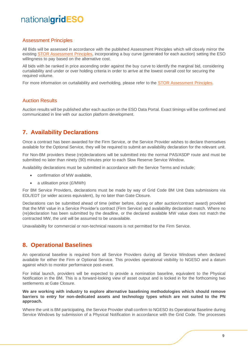#### <span id="page-8-0"></span>Assessment Principles

All Bids will be assessed in accordance with the published Assessment Principles which will closely mirror the existing [STOR Assessment Principles,](https://www.nationalgrideso.com/document/222391/download) incorporating a buy curve (generated for each auction) setting the ESO willingness to pay based on the alternative cost.

All bids with be ranked in price ascending order against the buy curve to identify the marginal bid, considering curtailability and under or over holding criteria in order to arrive at the lowest overall cost for securing the required volume.

For more information on curtailability and overholding, please refer to the **STOR** Assessment Principles.

### <span id="page-8-1"></span>Auction Results

Auction results will be published after each auction on the ESO Data Portal. Exact timings will be confirmed and communicated in line with our auction platform development.

### <span id="page-8-2"></span>**7. Availability Declarations**

Once a contract has been awarded for the Firm Service, or the Service Provider wishes to declare themselves available for the Optional Service, they will be required to submit an availability declaration for the relevant unit.

For Non-BM providers these (re)declarations will be submitted into the normal PAS/ASDP route and must be submitted no later than ninety (90) minutes prior to each Slow Reserve Service Window.

Availability declarations must be submitted in accordance with the Service Terms and include;

- confirmation of MW available,
- a utilisation price (£/MWh)

For BM Service Providers, declarations must be made by way of Grid Code BM Unit Data submissions via EDL/EDT (or wider access equivalent), by no later than Gate Closure.

Declarations can be submitted ahead of time (either before, during or after auction/contract award) provided that the MW value in a Service Provider's contract (Firm Service) and availability declaration match. Where no (re)declaration has been submitted by the deadline, or the declared available MW value does not match the contracted MW, the unit will be assumed to be unavailable.

Unavailability for commercial or non-technical reasons is not permitted for the Firm Service.

### <span id="page-8-3"></span>**8. Operational Baselines**

An operational baseline is required from all Service Providers during all Service Windows when declared available for either the Firm or Optional Service. This provides operational visibility to NGESO and a datum against which to monitor performance post-event.

For initial launch, providers will be expected to provide a nomination baseline, equivalent to the Physical Notification in the BM. This is a forward-looking view of asset output and is locked in for the forthcoming two settlements at Gate Closure.

#### **We are working with industry to explore alternative baselining methodologies which should remove barriers to entry for non-dedicated assets and technology types which are not suited to the PN approach.**

Where the unit is BM participating, the Service Provider shall confirm to NGESO its Operational Baseline during Service Windows by submission of a Physical Notification in accordance with the Grid Code. The processes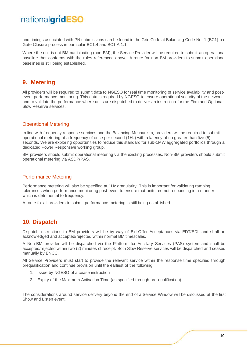and timings associated with PN submissions can be found in the Grid Code at Balancing Code No. 1 (BC1) pre Gate Closure process in particular BC1.4 and BC1.A.1.1.

Where the unit is not BM participating (non-BM), the Service Provider will be required to submit an operational baseline that conforms with the rules referenced above. A route for non-BM providers to submit operational baselines is still being established.

### <span id="page-9-0"></span>**9. Metering**

All providers will be required to submit data to NGESO for real time monitoring of service availability and postevent performance monitoring. This data is required by NGESO to ensure operational security of the network and to validate the performance where units are dispatched to deliver an instruction for the Firm and Optional Slow Reserve services.

### <span id="page-9-1"></span>Operational Metering

In line with frequency response services and the Balancing Mechanism, providers will be required to submit operational metering at a frequency of once per second (1Hz) with a latency of no greater than five (5) seconds. We are exploring opportunities to reduce this standard for sub-1MW aggregated portfolios through a dedicated Power Responsive working group.

BM providers should submit operational metering via the existing processes. Non-BM providers should submit operational metering via ASDP/PAS.

### <span id="page-9-2"></span>Performance Metering

Performance metering will also be specified at 1Hz granularity. This is important for validating ramping tolerances when performance monitoring post-event to ensure that units are not responding in a manner which is detrimental to frequency.

A route for all providers to submit performance metering is still being established.

### <span id="page-9-3"></span>**10. Dispatch**

Dispatch instructions to BM providers will be by way of Bid-Offer Acceptances via EDT/EDL and shall be acknowledged and accepted/rejected within normal BM timescales.

A Non-BM provider will be dispatched via the Platform for Ancillary Services (PAS) system and shall be accepted/rejected within two (2) minutes of receipt. Both Slow Reserve services will be dispatched and ceased manually by ENCC.

All Service Providers must start to provide the relevant service within the response time specified through prequalification and continue provision until the earliest of the following:

- 1. Issue by NGESO of a cease instruction
- 2. Expiry of the Maximum Activation Time (as specified through pre-qualification)

The considerations around service delivery beyond the end of a Service Window will be discussed at the first Show and Listen event.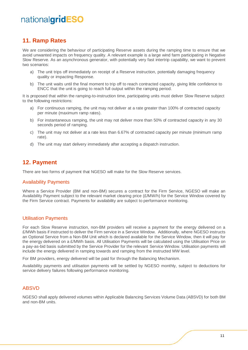### <span id="page-10-0"></span>**11. Ramp Rates**

We are considering the behaviour of participating Reserve assets during the ramping time to ensure that we avoid unwanted impacts on frequency quality. A relevant example is a large wind farm participating in Negative Slow Reserve. As an asynchronous generator, with potentially very fast intertrip capability, we want to prevent two scenarios:

- a) The unit trips off immediately on receipt of a Reserve instruction, potentially damaging frequency quality or impacting Response.
- b) The unit waits until the final moment to trip off to reach contracted capacity, giving little confidence to ENCC that the unit is going to reach full output within the ramping period.

It is proposed that within the ramping-to-instruction time, participating units must deliver Slow Reserve subject to the following restrictions:

- a) For continuous ramping, the unit may not deliver at a rate greater than 100% of contracted capacity per minute (maximum ramp rates).
- b) For instantaneous ramping, the unit may not deliver more than 50% of contracted capacity in any 30 seconds period of ramping.
- c) The unit may not deliver at a rate less than 6.67% of contracted capacity per minute (minimum ramp rate).
- d) The unit may start delivery immediately after accepting a dispatch instruction.

### <span id="page-10-1"></span>**12. Payment**

There are two forms of payment that NGESO will make for the Slow Reserve services.

#### <span id="page-10-2"></span>Availability Payments

Where a Service Provider (BM and non-BM) secures a contract for the Firm Service, NGESO will make an Availability Payment subject to the relevant market clearing price (£/MW/h) for the Service Window covered by the Firm Service contract. Payments for availability are subject to performance monitoring.

#### <span id="page-10-3"></span>Utilisation Payments

For each Slow Reserve instruction, non-BM providers will receive a payment for the energy delivered on a £/MWh basis if instructed to deliver the Firm service in a Service Window. Additionally, where NGESO instructs an Optional Service from a Non-BM Unit which is declared available for the Service Window, then it will pay for the energy delivered on a £/MWh basis. All Utilisation Payments will be calculated using the Utilisation Price on a pay-as-bid basis submitted by the Service Provider for the relevant Service Window. Utilisation payments will include the energy delivered in ramping towards and ramping from the instructed MW level.

For BM providers, energy delivered will be paid for through the Balancing Mechanism.

Availability payments and utilisation payments will be settled by NGESO monthly, subject to deductions for service delivery failures following performance monitoring.

### <span id="page-10-4"></span>ABSVD

NGESO shall apply delivered volumes within Applicable Balancing Services Volume Data (ABSVD) for both BM and non-BM units.